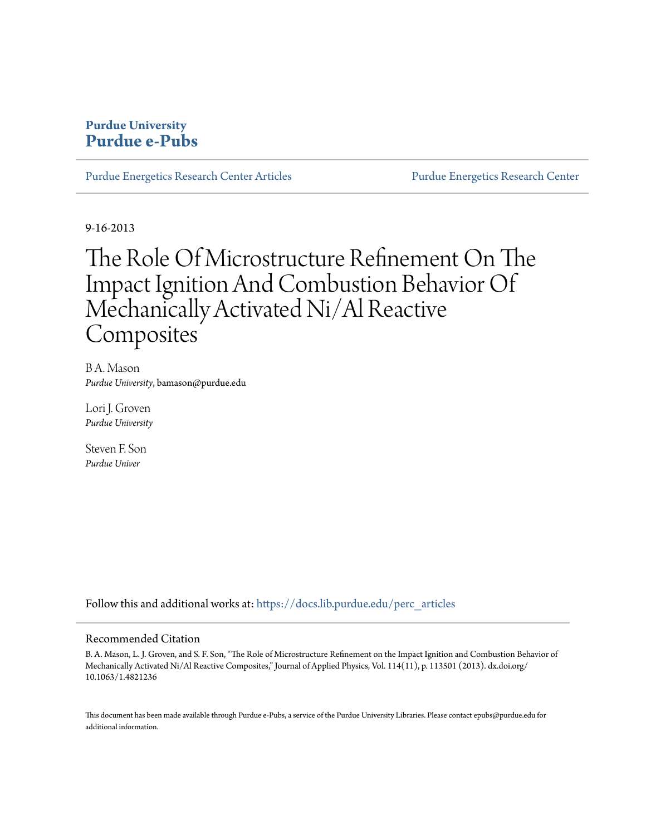# **Purdue University [Purdue e-Pubs](https://docs.lib.purdue.edu?utm_source=docs.lib.purdue.edu%2Fperc_articles%2F11&utm_medium=PDF&utm_campaign=PDFCoverPages)**

[Purdue Energetics Research Center Articles](https://docs.lib.purdue.edu/perc_articles?utm_source=docs.lib.purdue.edu%2Fperc_articles%2F11&utm_medium=PDF&utm_campaign=PDFCoverPages) [Purdue Energetics Research Center](https://docs.lib.purdue.edu/perc?utm_source=docs.lib.purdue.edu%2Fperc_articles%2F11&utm_medium=PDF&utm_campaign=PDFCoverPages)

9-16-2013

# The Role Of Microstructure Refinement On The Impact Ignition And Combustion Behavior Of Mechanically Activated Ni/Al Reactive Composites

B A. Mason *Purdue University*, bamason@purdue.edu

Lori J. Groven *Purdue University*

Steven F. Son *Purdue Univer*

Follow this and additional works at: [https://docs.lib.purdue.edu/perc\\_articles](https://docs.lib.purdue.edu/perc_articles?utm_source=docs.lib.purdue.edu%2Fperc_articles%2F11&utm_medium=PDF&utm_campaign=PDFCoverPages)

# Recommended Citation

B. A. Mason, L. J. Groven, and S. F. Son, "The Role of Microstructure Refinement on the Impact Ignition and Combustion Behavior of Mechanically Activated Ni/Al Reactive Composites," Journal of Applied Physics, Vol. 114(11), p. 113501 (2013). dx.doi.org/ 10.1063/1.4821236

This document has been made available through Purdue e-Pubs, a service of the Purdue University Libraries. Please contact epubs@purdue.edu for additional information.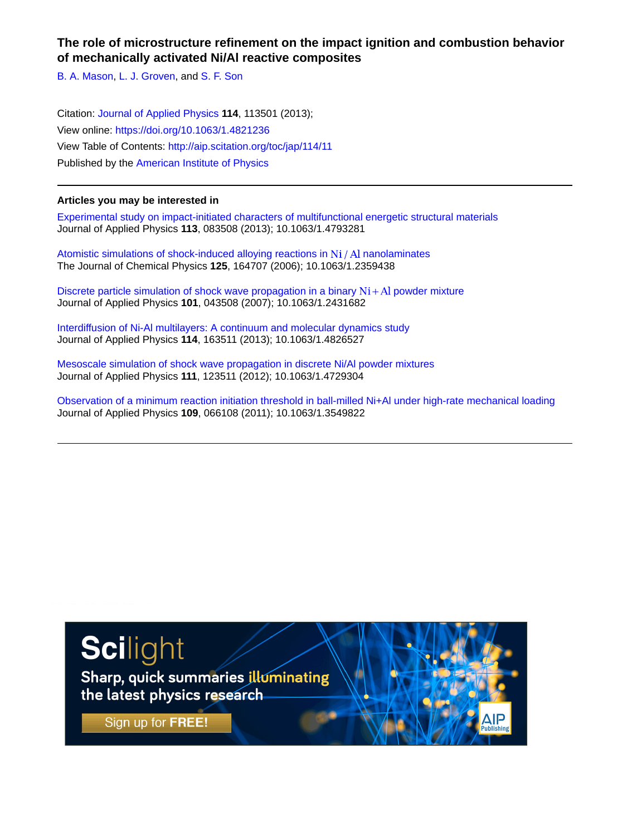# **The role of microstructure refinement on the impact ignition and combustion behavior of mechanically activated Ni/Al reactive composites**

[B. A. Mason,](http://aip.scitation.org/author/Mason%2C+B+A) [L. J. Groven,](http://aip.scitation.org/author/Groven%2C+L+J) and [S. F. Son](http://aip.scitation.org/author/Son%2C+S+F)

Citation: [Journal of Applied Physics](/loi/jap) **114**, 113501 (2013); View online: <https://doi.org/10.1063/1.4821236> View Table of Contents: <http://aip.scitation.org/toc/jap/114/11> Published by the [American Institute of Physics](http://aip.scitation.org/publisher/)

# **Articles you may be interested in**

[Experimental study on impact-initiated characters of multifunctional energetic structural materials](http://aip.scitation.org/doi/abs/10.1063/1.4793281) Journal of Applied Physics **113**, 083508 (2013); 10.1063/1.4793281

Atomistic simulations of shock-induced alloying reactions in  $Ni / Al$  nanolaminates The Journal of Chemical Physics **125**, 164707 (2006); 10.1063/1.2359438

Discrete particle simulation of shock wave propagation in a binary  $Ni + Al$  powder mixture Journal of Applied Physics **101**, 043508 (2007); 10.1063/1.2431682

[Interdiffusion of Ni-Al multilayers: A continuum and molecular dynamics study](http://aip.scitation.org/doi/abs/10.1063/1.4826527) Journal of Applied Physics **114**, 163511 (2013); 10.1063/1.4826527

[Mesoscale simulation of shock wave propagation in discrete Ni/Al powder mixtures](http://aip.scitation.org/doi/abs/10.1063/1.4729304) Journal of Applied Physics **111**, 123511 (2012); 10.1063/1.4729304

[Observation of a minimum reaction initiation threshold in ball-milled Ni+Al under high-rate mechanical loading](http://aip.scitation.org/doi/abs/10.1063/1.3549822) Journal of Applied Physics **109**, 066108 (2011); 10.1063/1.3549822

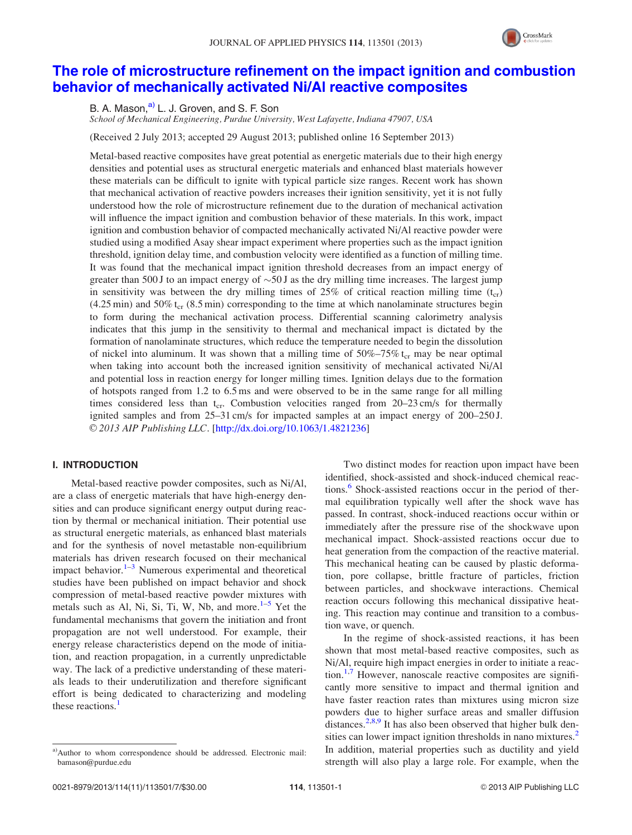

# [The role of microstructure refinement on the impact ignition and combustion](http://dx.doi.org/10.1063/1.4821236) [behavior of mechanically activated Ni/Al reactive composites](http://dx.doi.org/10.1063/1.4821236)

B. A. Mason.<sup>a)</sup> L. J. Groven, and S. F. Son

School of Mechanical Engineering, Purdue University, West Lafayette, Indiana 47907, USA

(Received 2 July 2013; accepted 29 August 2013; published online 16 September 2013)

Metal-based reactive composites have great potential as energetic materials due to their high energy densities and potential uses as structural energetic materials and enhanced blast materials however these materials can be difficult to ignite with typical particle size ranges. Recent work has shown that mechanical activation of reactive powders increases their ignition sensitivity, yet it is not fully understood how the role of microstructure refinement due to the duration of mechanical activation will influence the impact ignition and combustion behavior of these materials. In this work, impact ignition and combustion behavior of compacted mechanically activated Ni/Al reactive powder were studied using a modified Asay shear impact experiment where properties such as the impact ignition threshold, ignition delay time, and combustion velocity were identified as a function of milling time. It was found that the mechanical impact ignition threshold decreases from an impact energy of greater than 500 J to an impact energy of  $\sim$ 50 J as the dry milling time increases. The largest jump in sensitivity was between the dry milling times of  $25\%$  of critical reaction milling time (t<sub>cr</sub>)  $(4.25 \text{ min})$  and  $50\%$  t<sub>cr</sub>  $(8.5 \text{ min})$  corresponding to the time at which nanolaminate structures begin to form during the mechanical activation process. Differential scanning calorimetry analysis indicates that this jump in the sensitivity to thermal and mechanical impact is dictated by the formation of nanolaminate structures, which reduce the temperature needed to begin the dissolution of nickel into aluminum. It was shown that a milling time of  $50\% -75\%$  t<sub>cr</sub> may be near optimal when taking into account both the increased ignition sensitivity of mechanical activated Ni/Al and potential loss in reaction energy for longer milling times. Ignition delays due to the formation of hotspots ranged from 1.2 to 6.5 ms and were observed to be in the same range for all milling times considered less than  $t_{cr}$ . Combustion velocities ranged from 20–23 cm/s for thermally ignited samples and from 25–31 cm/s for impacted samples at an impact energy of 200–250 J.  $\odot$  2013 AIP Publishing LLC. [[http://dx.doi.org/10.1063/1.4821236\]](http://dx.doi.org/10.1063/1.4821236)

## I. INTRODUCTION

Metal-based reactive powder composites, such as Ni/Al, are a class of energetic materials that have high-energy densities and can produce significant energy output during reaction by thermal or mechanical initiation. Their potential use as structural energetic materials, as enhanced blast materials and for the synthesis of novel metastable non-equilibrium materials has driven research focused on their mechanical impact behavior. $1-3$  Numerous experimental and theoretical studies have been published on impact behavior and shock compression of metal-based reactive powder mixtures with metals such as Al, Ni, Si, Ti, W, Nb, and more. $1-5$  Yet the fundamental mechanisms that govern the initiation and front propagation are not well understood. For example, their energy release characteristics depend on the mode of initiation, and reaction propagation, in a currently unpredictable way. The lack of a predictive understanding of these materials leads to their underutilization and therefore significant effort is being dedicated to characterizing and modeling these reactions.

Two distinct modes for reaction upon impact have been identified, shock-assisted and shock-induced chemical reac-tions.<sup>[6](#page-8-0)</sup> Shock-assisted reactions occur in the period of thermal equilibration typically well after the shock wave has passed. In contrast, shock-induced reactions occur within or immediately after the pressure rise of the shockwave upon mechanical impact. Shock-assisted reactions occur due to heat generation from the compaction of the reactive material. This mechanical heating can be caused by plastic deformation, pore collapse, brittle fracture of particles, friction between particles, and shockwave interactions. Chemical reaction occurs following this mechanical dissipative heating. This reaction may continue and transition to a combustion wave, or quench.

In the regime of shock-assisted reactions, it has been shown that most metal-based reactive composites, such as Ni/Al, require high impact energies in order to initiate a reaction. $1,7$  However, nanoscale reactive composites are significantly more sensitive to impact and thermal ignition and have faster reaction rates than mixtures using micron size powders due to higher surface areas and smaller diffusion distances.<sup>[2](#page-8-0),[8,9](#page-8-0)</sup> It has also been observed that higher bulk den-sities can lower impact ignition thresholds in nano mixtures.<sup>[2](#page-8-0)</sup> In addition, material properties such as ductility and yield strength will also play a large role. For example, when the

a)Author to whom correspondence should be addressed. Electronic mail: [bamason@purdue.edu](mailto:bamason@purdue.edu)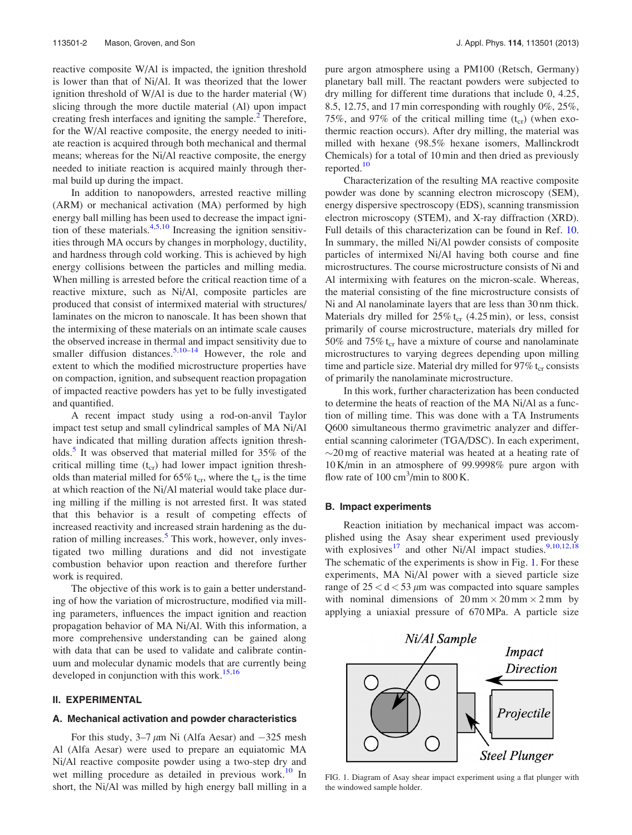reactive composite W/Al is impacted, the ignition threshold is lower than that of Ni/Al. It was theorized that the lower ignition threshold of W/Al is due to the harder material (W) slicing through the more ductile material (Al) upon impact creating fresh interfaces and igniting the sample.<sup>[2](#page-8-0)</sup> Therefore, for the W/Al reactive composite, the energy needed to initiate reaction is acquired through both mechanical and thermal means; whereas for the Ni/Al reactive composite, the energy needed to initiate reaction is acquired mainly through thermal build up during the impact.

In addition to nanopowders, arrested reactive milling (ARM) or mechanical activation (MA) performed by high energy ball milling has been used to decrease the impact ignition of these materials. $4,5,10$  Increasing the ignition sensitivities through MA occurs by changes in morphology, ductility, and hardness through cold working. This is achieved by high energy collisions between the particles and milling media. When milling is arrested before the critical reaction time of a reactive mixture, such as Ni/Al, composite particles are produced that consist of intermixed material with structures/ laminates on the micron to nanoscale. It has been shown that the intermixing of these materials on an intimate scale causes the observed increase in thermal and impact sensitivity due to smaller diffusion distances.<sup>[5,10–14](#page-8-0)</sup> However, the role and extent to which the modified microstructure properties have on compaction, ignition, and subsequent reaction propagation of impacted reactive powders has yet to be fully investigated and quantified.

A recent impact study using a rod-on-anvil Taylor impact test setup and small cylindrical samples of MA Ni/Al have indicated that milling duration affects ignition thresh-olds.<sup>[5](#page-8-0)</sup> It was observed that material milled for 35% of the critical milling time  $(t_{cr})$  had lower impact ignition thresholds than material milled for  $65\%$  t<sub>cr</sub>, where the t<sub>cr</sub> is the time at which reaction of the Ni/Al material would take place during milling if the milling is not arrested first. It was stated that this behavior is a result of competing effects of increased reactivity and increased strain hardening as the du-ration of milling increases.<sup>[5](#page-8-0)</sup> This work, however, only investigated two milling durations and did not investigate combustion behavior upon reaction and therefore further work is required.

The objective of this work is to gain a better understanding of how the variation of microstructure, modified via milling parameters, influences the impact ignition and reaction propagation behavior of MA Ni/Al. With this information, a more comprehensive understanding can be gained along with data that can be used to validate and calibrate continuum and molecular dynamic models that are currently being developed in conjunction with this work.<sup>15,16</sup>

#### II. EXPERIMENTAL

#### A. Mechanical activation and powder characteristics

For this study,  $3-7 \mu m$  Ni (Alfa Aesar) and  $-325$  mesh Al (Alfa Aesar) were used to prepare an equiatomic MA Ni/Al reactive composite powder using a two-step dry and wet milling procedure as detailed in previous work.<sup>10</sup> In short, the Ni/Al was milled by high energy ball milling in a pure argon atmosphere using a PM100 (Retsch, Germany) planetary ball mill. The reactant powders were subjected to dry milling for different time durations that include 0, 4.25, 8.5, 12.75, and 17 min corresponding with roughly 0%, 25%, 75%, and 97% of the critical milling time  $(t_{cr})$  (when exothermic reaction occurs). After dry milling, the material was milled with hexane (98.5% hexane isomers, Mallinckrodt Chemicals) for a total of 10 min and then dried as previously reported.<sup>[10](#page-8-0)</sup>

Characterization of the resulting MA reactive composite powder was done by scanning electron microscopy (SEM), energy dispersive spectroscopy (EDS), scanning transmission electron microscopy (STEM), and X-ray diffraction (XRD). Full details of this characterization can be found in Ref. [10](#page-8-0). In summary, the milled Ni/Al powder consists of composite particles of intermixed Ni/Al having both course and fine microstructures. The course microstructure consists of Ni and Al intermixing with features on the micron-scale. Whereas, the material consisting of the fine microstructure consists of Ni and Al nanolaminate layers that are less than 30 nm thick. Materials dry milled for  $25\%$  t<sub>cr</sub> (4.25 min), or less, consist primarily of course microstructure, materials dry milled for 50% and 75%  $t_{cr}$  have a mixture of course and nanolaminate microstructures to varying degrees depending upon milling time and particle size. Material dry milled for  $97\%$  t<sub>cr</sub> consists of primarily the nanolaminate microstructure.

In this work, further characterization has been conducted to determine the heats of reaction of the MA Ni/Al as a function of milling time. This was done with a TA Instruments Q600 simultaneous thermo gravimetric analyzer and differential scanning calorimeter (TGA/DSC). In each experiment,  $\sim$ 20 mg of reactive material was heated at a heating rate of 10 K/min in an atmosphere of 99.9998% pure argon with flow rate of  $100 \text{ cm}^3/\text{min}$  to  $800 \text{ K}$ .

#### B. Impact experiments

Reaction initiation by mechanical impact was accomplished using the Asay shear experiment used previously with explosives<sup>[17](#page-8-0)</sup> and other Ni/Al impact studies.<sup>[9,10,12,18](#page-8-0)</sup> The schematic of the experiments is show in Fig. 1. For these experiments, MA Ni/Al power with a sieved particle size range of  $25 < d < 53 \mu m$  was compacted into square samples with nominal dimensions of  $20 \text{ mm} \times 20 \text{ mm} \times 2 \text{ mm}$  by applying a uniaxial pressure of 670 MPa. A particle size



FIG. 1. Diagram of Asay shear impact experiment using a flat plunger with the windowed sample holder.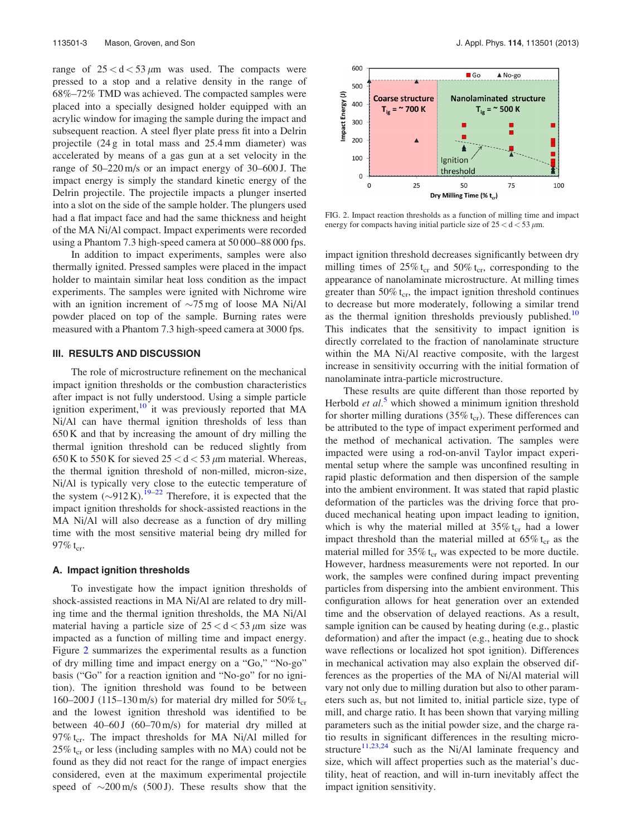range of  $25 < d < 53 \mu m$  was used. The compacts were pressed to a stop and a relative density in the range of 68%–72% TMD was achieved. The compacted samples were placed into a specially designed holder equipped with an acrylic window for imaging the sample during the impact and subsequent reaction. A steel flyer plate press fit into a Delrin projectile (24 g in total mass and 25.4 mm diameter) was accelerated by means of a gas gun at a set velocity in the range of 50–220 m/s or an impact energy of 30–600 J. The impact energy is simply the standard kinetic energy of the Delrin projectile. The projectile impacts a plunger inserted into a slot on the side of the sample holder. The plungers used had a flat impact face and had the same thickness and height of the MA Ni/Al compact. Impact experiments were recorded using a Phantom 7.3 high-speed camera at 50 000–88 000 fps.

In addition to impact experiments, samples were also thermally ignited. Pressed samples were placed in the impact holder to maintain similar heat loss condition as the impact experiments. The samples were ignited with Nichrome wire with an ignition increment of  $\sim$ 75 mg of loose MA Ni/Al powder placed on top of the sample. Burning rates were measured with a Phantom 7.3 high-speed camera at 3000 fps.

## III. RESULTS AND DISCUSSION

The role of microstructure refinement on the mechanical impact ignition thresholds or the combustion characteristics after impact is not fully understood. Using a simple particle ignition experiment, $\frac{10}{10}$  $\frac{10}{10}$  $\frac{10}{10}$  it was previously reported that MA Ni/Al can have thermal ignition thresholds of less than 650 K and that by increasing the amount of dry milling the thermal ignition threshold can be reduced slightly from 650 K to 550 K for sieved  $25 < d < 53 \mu$ m material. Whereas, the thermal ignition threshold of non-milled, micron-size, Ni/Al is typically very close to the eutectic temperature of the system  $(\sim 912 \text{ K})$ .<sup>[19–22](#page-8-0)</sup> Therefore, it is expected that the impact ignition thresholds for shock-assisted reactions in the MA Ni/Al will also decrease as a function of dry milling time with the most sensitive material being dry milled for 97%  $t_{\rm cr}$ .

#### A. Impact ignition thresholds

To investigate how the impact ignition thresholds of shock-assisted reactions in MA Ni/Al are related to dry milling time and the thermal ignition thresholds, the MA Ni/Al material having a particle size of  $25 < d < 53 \mu m$  size was impacted as a function of milling time and impact energy. Figure 2 summarizes the experimental results as a function of dry milling time and impact energy on a "Go," "No-go" basis ("Go" for a reaction ignition and "No-go" for no ignition). The ignition threshold was found to be between 160–200 J (115–130 m/s) for material dry milled for 50%  $t_{cr}$ and the lowest ignition threshold was identified to be between  $40-60$  J  $(60-70 \text{ m/s})$  for material dry milled at 97%  $t_{cr}$ . The impact thresholds for MA Ni/Al milled for  $25\%$  t<sub>cr</sub> or less (including samples with no MA) could not be found as they did not react for the range of impact energies considered, even at the maximum experimental projectile speed of  $\sim$ 200 m/s (500 J). These results show that the



FIG. 2. Impact reaction thresholds as a function of milling time and impact energy for compacts having initial particle size of  $25 < d < 53 \mu$ m.

impact ignition threshold decreases significantly between dry milling times of  $25\%$  t<sub>cr</sub> and  $50\%$  t<sub>cr</sub>, corresponding to the appearance of nanolaminate microstructure. At milling times greater than  $50\%$  t<sub>cr</sub>, the impact ignition threshold continues to decrease but more moderately, following a similar trend as the thermal ignition thresholds previously published.<sup>[10](#page-8-0)</sup> This indicates that the sensitivity to impact ignition is directly correlated to the fraction of nanolaminate structure within the MA Ni/Al reactive composite, with the largest increase in sensitivity occurring with the initial formation of nanolaminate intra-particle microstructure.

These results are quite different than those reported by Herbold *et al.*<sup>[5](#page-8-0)</sup> which showed a minimum ignition threshold for shorter milling durations (35%  $t_{cr}$ ). These differences can be attributed to the type of impact experiment performed and the method of mechanical activation. The samples were impacted were using a rod-on-anvil Taylor impact experimental setup where the sample was unconfined resulting in rapid plastic deformation and then dispersion of the sample into the ambient environment. It was stated that rapid plastic deformation of the particles was the driving force that produced mechanical heating upon impact leading to ignition, which is why the material milled at  $35\%$  t<sub>cr</sub> had a lower impact threshold than the material milled at  $65\%$  t<sub>cr</sub> as the material milled for  $35\%$  t<sub>cr</sub> was expected to be more ductile. However, hardness measurements were not reported. In our work, the samples were confined during impact preventing particles from dispersing into the ambient environment. This configuration allows for heat generation over an extended time and the observation of delayed reactions. As a result, sample ignition can be caused by heating during (e.g., plastic deformation) and after the impact (e.g., heating due to shock wave reflections or localized hot spot ignition). Differences in mechanical activation may also explain the observed differences as the properties of the MA of Ni/Al material will vary not only due to milling duration but also to other parameters such as, but not limited to, initial particle size, type of mill, and charge ratio. It has been shown that varying milling parameters such as the initial powder size, and the charge ratio results in significant differences in the resulting micro-structure<sup>[11,23](#page-8-0),[24](#page-8-0)</sup> such as the Ni/Al laminate frequency and size, which will affect properties such as the material's ductility, heat of reaction, and will in-turn inevitably affect the impact ignition sensitivity.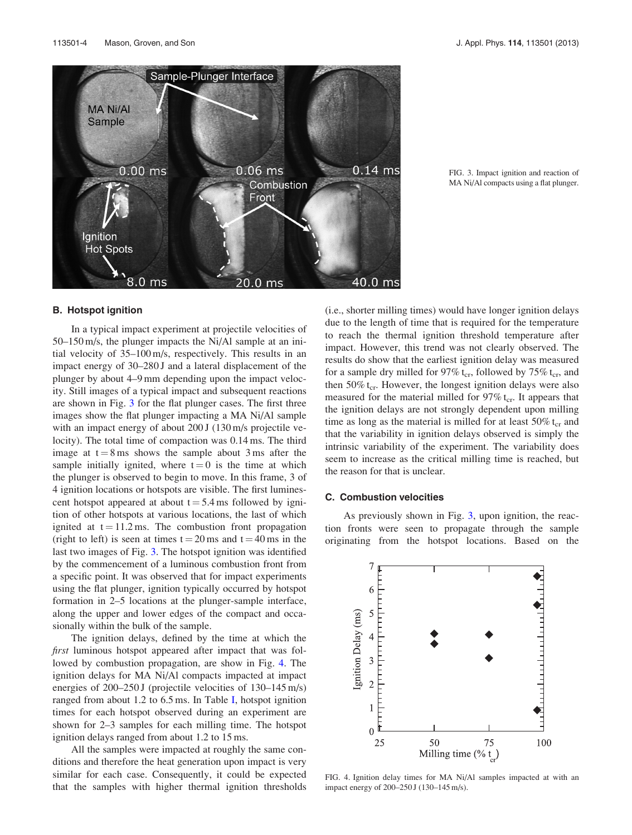

FIG. 3. Impact ignition and reaction of MA Ni/Al compacts using a flat plunger.

#### B. Hotspot ignition

In a typical impact experiment at projectile velocities of 50–150 m/s, the plunger impacts the Ni/Al sample at an initial velocity of 35–100 m/s, respectively. This results in an impact energy of 30–280 J and a lateral displacement of the plunger by about 4–9 mm depending upon the impact velocity. Still images of a typical impact and subsequent reactions are shown in Fig. 3 for the flat plunger cases. The first three images show the flat plunger impacting a MA Ni/Al sample with an impact energy of about 200 J (130 m/s projectile velocity). The total time of compaction was 0.14 ms. The third image at  $t = 8$  ms shows the sample about 3 ms after the sample initially ignited, where  $t = 0$  is the time at which the plunger is observed to begin to move. In this frame, 3 of 4 ignition locations or hotspots are visible. The first luminescent hotspot appeared at about  $t = 5.4$  ms followed by ignition of other hotspots at various locations, the last of which ignited at  $t = 11.2$  ms. The combustion front propagation (right to left) is seen at times  $t = 20$  ms and  $t = 40$  ms in the last two images of Fig. 3. The hotspot ignition was identified by the commencement of a luminous combustion front from a specific point. It was observed that for impact experiments using the flat plunger, ignition typically occurred by hotspot formation in 2–5 locations at the plunger-sample interface, along the upper and lower edges of the compact and occasionally within the bulk of the sample.

The ignition delays, defined by the time at which the first luminous hotspot appeared after impact that was followed by combustion propagation, are show in Fig. 4. The ignition delays for MA Ni/Al compacts impacted at impact energies of 200–250 J (projectile velocities of 130–145 m/s) ranged from about 1.2 to  $6.5$  ms. In Table [I,](#page-6-0) hotspot ignition times for each hotspot observed during an experiment are shown for 2–3 samples for each milling time. The hotspot ignition delays ranged from about 1.2 to 15 ms.

All the samples were impacted at roughly the same conditions and therefore the heat generation upon impact is very similar for each case. Consequently, it could be expected that the samples with higher thermal ignition thresholds (i.e., shorter milling times) would have longer ignition delays due to the length of time that is required for the temperature to reach the thermal ignition threshold temperature after impact. However, this trend was not clearly observed. The results do show that the earliest ignition delay was measured for a sample dry milled for 97%  $t_{cr}$ , followed by 75%  $t_{cr}$ , and then  $50\%$  t<sub>cr</sub>. However, the longest ignition delays were also measured for the material milled for  $97\%$  t<sub>cr</sub>. It appears that the ignition delays are not strongly dependent upon milling time as long as the material is milled for at least  $50\%$  t<sub>cr</sub> and that the variability in ignition delays observed is simply the intrinsic variability of the experiment. The variability does seem to increase as the critical milling time is reached, but the reason for that is unclear.

#### C. Combustion velocities

As previously shown in Fig. 3, upon ignition, the reaction fronts were seen to propagate through the sample originating from the hotspot locations. Based on the



FIG. 4. Ignition delay times for MA Ni/Al samples impacted at with an impact energy of 200–250 J (130–145 m/s).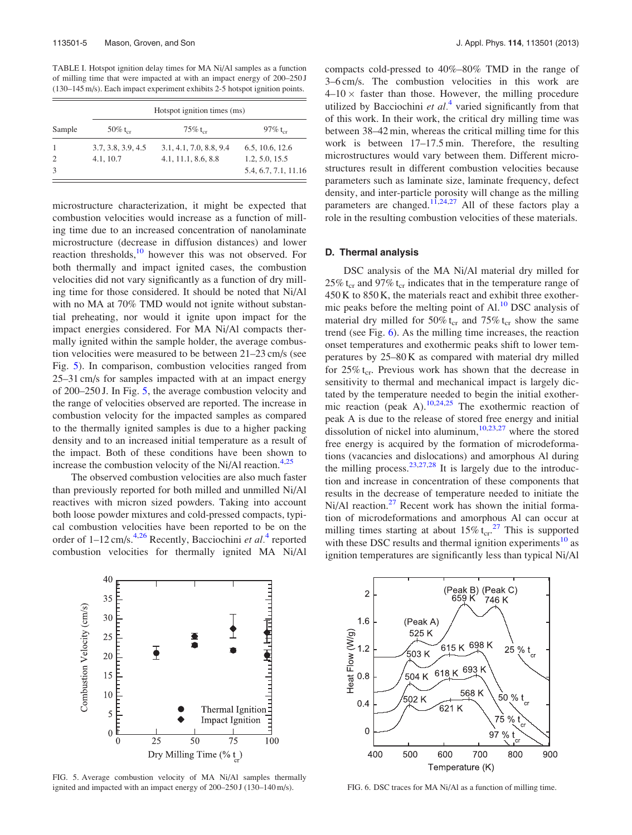<span id="page-6-0"></span>TABLE I. Hotspot ignition delay times for MA Ni/Al samples as a function of milling time that were impacted at with an impact energy of 200–250 J (130–145 m/s). Each impact experiment exhibits 2-5 hotspot ignition points.

| Sample | Hotspot ignition times (ms) |                         |                      |  |
|--------|-----------------------------|-------------------------|----------------------|--|
|        | 50% $t_{cr}$                | $75\%$ t <sub>or</sub>  | 97% $t_{cr}$         |  |
|        | 3.7, 3.8, 3.9, 4.5          | 3.1, 4.1, 7.0, 8.8, 9.4 | 6.5, 10.6, 12.6      |  |
| 2      | 4.1, 10.7                   | 4.1, 11.1, 8.6, 8.8     | 1.2, 5.0, 15.5       |  |
| 3      |                             |                         | 5.4, 6.7, 7.1, 11.16 |  |

microstructure characterization, it might be expected that combustion velocities would increase as a function of milling time due to an increased concentration of nanolaminate microstructure (decrease in diffusion distances) and lower reaction thresholds,<sup>[10](#page-8-0)</sup> however this was not observed. For both thermally and impact ignited cases, the combustion velocities did not vary significantly as a function of dry milling time for those considered. It should be noted that Ni/Al with no MA at 70% TMD would not ignite without substantial preheating, nor would it ignite upon impact for the impact energies considered. For MA Ni/Al compacts thermally ignited within the sample holder, the average combustion velocities were measured to be between 21–23 cm/s (see Fig. 5). In comparison, combustion velocities ranged from 25–31 cm/s for samples impacted with at an impact energy of 200–250 J. In Fig. 5, the average combustion velocity and the range of velocities observed are reported. The increase in combustion velocity for the impacted samples as compared to the thermally ignited samples is due to a higher packing density and to an increased initial temperature as a result of the impact. Both of these conditions have been shown to increase the combustion velocity of the Ni/Al reaction.<sup>[4,25](#page-8-0)</sup>

The observed combustion velocities are also much faster than previously reported for both milled and unmilled Ni/Al reactives with micron sized powders. Taking into account both loose powder mixtures and cold-pressed compacts, typical combustion velocities have been reported to be on the order of  $1-12$  cm/s.<sup>[4,26](#page-8-0)</sup> Recently, Bacciochini *et al.*<sup>[4](#page-8-0)</sup> reported combustion velocities for thermally ignited MA Ni/Al compacts cold-pressed to 40%–80% TMD in the range of 3–6 cm/s. The combustion velocities in this work are  $4-10 \times$  faster than those. However, the milling procedure utilized by Bacciochini et  $al<sup>4</sup>$  $al<sup>4</sup>$  $al<sup>4</sup>$  varied significantly from that of this work. In their work, the critical dry milling time was between 38–42 min, whereas the critical milling time for this work is between 17–17.5 min. Therefore, the resulting microstructures would vary between them. Different microstructures result in different combustion velocities because parameters such as laminate size, laminate frequency, defect density, and inter-particle porosity will change as the milling parameters are changed.<sup>[11](#page-8-0),[24,27](#page-8-0)</sup> All of these factors play a role in the resulting combustion velocities of these materials.

## D. Thermal analysis

DSC analysis of the MA Ni/Al material dry milled for 25% t<sub>cr</sub> and 97% t<sub>cr</sub> indicates that in the temperature range of 450 K to 850 K, the materials react and exhibit three exothermic peaks before the melting point of  $Al<sup>10</sup> DSC$  analysis of material dry milled for 50%  $t_{cr}$  and 75%  $t_{cr}$  show the same trend (see Fig. 6). As the milling time increases, the reaction onset temperatures and exothermic peaks shift to lower temperatures by 25–80 K as compared with material dry milled for  $25\%$  t<sub>cr</sub>. Previous work has shown that the decrease in sensitivity to thermal and mechanical impact is largely dictated by the temperature needed to begin the initial exother-mic reaction (peak A).<sup>[10,24,25](#page-8-0)</sup> The exothermic reaction of peak A is due to the release of stored free energy and initial dissolution of nickel into aluminum,  $10,23,27$  where the stored free energy is acquired by the formation of microdeformations (vacancies and dislocations) and amorphous Al during the milling process. $23,27,28$  It is largely due to the introduction and increase in concentration of these components that results in the decrease of temperature needed to initiate the  $Ni/Al$  reaction.<sup>[27](#page-8-0)</sup> Recent work has shown the initial formation of microdeformations and amorphous Al can occur at milling times starting at about  $15\% \text{ t}_{cr}^{27}$  $15\% \text{ t}_{cr}^{27}$  $15\% \text{ t}_{cr}^{27}$ . This is supported with these DSC results and thermal ignition experiments<sup>[10](#page-8-0)</sup> as ignition temperatures are significantly less than typical Ni/Al



FIG. 5. Average combustion velocity of MA Ni/Al samples thermally ignited and impacted with an impact energy of 200–250 J (130–140 m/s). FIG. 6. DSC traces for MA Ni/Al as a function of milling time.

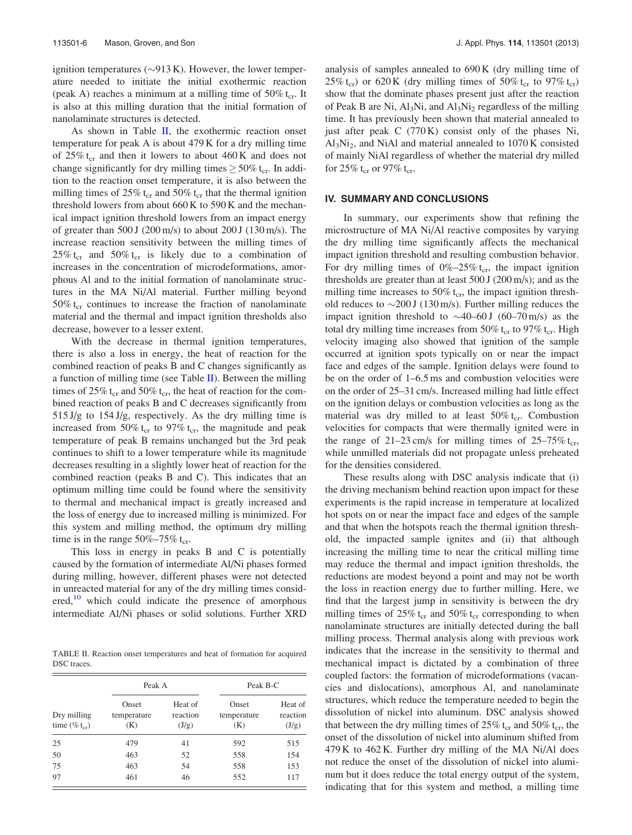ignition temperatures  $(\sim 913 \text{ K})$ . However, the lower temperature needed to initiate the initial exothermic reaction (peak A) reaches a minimum at a milling time of  $50\%$  t<sub>cr</sub>. It is also at this milling duration that the initial formation of nanolaminate structures is detected.

As shown in Table  $II$ , the exothermic reaction onset temperature for peak A is about 479 K for a dry milling time of  $25\%$  t<sub>cr</sub> and then it lowers to about 460 K and does not change significantly for dry milling times  $\geq$  50% t<sub>cr</sub>. In addition to the reaction onset temperature, it is also between the milling times of  $25\%$  t<sub>cr</sub> and  $50\%$  t<sub>cr</sub> that the thermal ignition threshold lowers from about 660 K to 590 K and the mechanical impact ignition threshold lowers from an impact energy of greater than  $500$  J (200 m/s) to about 200 J (130 m/s). The increase reaction sensitivity between the milling times of 25% t<sub>cr</sub> and 50% t<sub>cr</sub> is likely due to a combination of increases in the concentration of microdeformations, amorphous Al and to the initial formation of nanolaminate structures in the MA Ni/Al material. Further milling beyond  $50\%$  t<sub>cr</sub> continues to increase the fraction of nanolaminate material and the thermal and impact ignition thresholds also decrease, however to a lesser extent.

With the decrease in thermal ignition temperatures, there is also a loss in energy, the heat of reaction for the combined reaction of peaks B and C changes significantly as a function of milling time (see Table II). Between the milling times of 25% t<sub>cr</sub> and 50% t<sub>cr</sub>, the heat of reaction for the combined reaction of peaks B and C decreases significantly from  $515 \text{ J/g}$  to  $154 \text{ J/g}$ , respectively. As the dry milling time is increased from 50%  $t_{cr}$  to 97%  $t_{cr}$ , the magnitude and peak temperature of peak B remains unchanged but the 3rd peak continues to shift to a lower temperature while its magnitude decreases resulting in a slightly lower heat of reaction for the combined reaction (peaks B and C). This indicates that an optimum milling time could be found where the sensitivity to thermal and mechanical impact is greatly increased and the loss of energy due to increased milling is minimized. For this system and milling method, the optimum dry milling time is in the range  $50\% - 75\%$  t<sub>cr</sub>.

This loss in energy in peaks B and C is potentially caused by the formation of intermediate Al/Ni phases formed during milling, however, different phases were not detected in unreacted material for any of the dry milling times consid- $\text{ered.}^{10}$  $\text{ered.}^{10}$  $\text{ered.}^{10}$  which could indicate the presence of amorphous intermediate Al/Ni phases or solid solutions. Further XRD

TABLE II. Reaction onset temperatures and heat of formation for acquired DSC traces.

|                                   | Peak A                      |                              | Peak B-C                    |                              |
|-----------------------------------|-----------------------------|------------------------------|-----------------------------|------------------------------|
| Dry milling<br>time $(\% t_{cr})$ | Onset<br>temperature<br>(K) | Heat of<br>reaction<br>(J/g) | Onset<br>temperature<br>(K) | Heat of<br>reaction<br>(J/g) |
| 25                                | 479                         | 41                           | 592                         | 515                          |
| 50                                | 463                         | 52                           | 558                         | 154                          |
| 75                                | 463                         | 54                           | 558                         | 153                          |
| 97                                | 461                         | 46                           | 552                         | 117                          |

analysis of samples annealed to 690 K (dry milling time of 25% t<sub>cr</sub>) or 620 K (dry milling times of 50% t<sub>cr</sub> to 97% t<sub>cr</sub>) show that the dominate phases present just after the reaction of Peak B are Ni,  $Al<sub>3</sub>Ni$ , and  $Al<sub>3</sub>Ni<sub>2</sub>$  regardless of the milling time. It has previously been shown that material annealed to just after peak C (770 K) consist only of the phases Ni, Al3Ni2, and NiAl and material annealed to 1070 K consisted of mainly NiAl regardless of whether the material dry milled for  $25\%$  t<sub>cr</sub> or  $97\%$  t<sub>cr</sub>.

## IV. SUMMARY AND CONCLUSIONS

In summary, our experiments show that refining the microstructure of MA Ni/Al reactive composites by varying the dry milling time significantly affects the mechanical impact ignition threshold and resulting combustion behavior. For dry milling times of  $0\%-25\%$  t<sub>cr</sub>, the impact ignition thresholds are greater than at least 500 J (200 m/s); and as the milling time increases to 50%  $t_{cr}$ , the impact ignition threshold reduces to  $\sim$ 200 J (130 m/s). Further milling reduces the impact ignition threshold to  $\sim$  40–60 J (60–70 m/s) as the total dry milling time increases from 50%  $t_{cr}$  to 97%  $t_{cr}$ . High velocity imaging also showed that ignition of the sample occurred at ignition spots typically on or near the impact face and edges of the sample. Ignition delays were found to be on the order of 1–6.5 ms and combustion velocities were on the order of 25–31 cm/s. Increased milling had little effect on the ignition delays or combustion velocities as long as the material was dry milled to at least  $50\%$  t<sub>cr</sub>. Combustion velocities for compacts that were thermally ignited were in the range of 21–23 cm/s for milling times of  $25-75\%$  t<sub>cr</sub>, while unmilled materials did not propagate unless preheated for the densities considered.

These results along with DSC analysis indicate that (i) the driving mechanism behind reaction upon impact for these experiments is the rapid increase in temperature at localized hot spots on or near the impact face and edges of the sample and that when the hotspots reach the thermal ignition threshold, the impacted sample ignites and (ii) that although increasing the milling time to near the critical milling time may reduce the thermal and impact ignition thresholds, the reductions are modest beyond a point and may not be worth the loss in reaction energy due to further milling. Here, we find that the largest jump in sensitivity is between the dry milling times of  $25\%$  t<sub>cr</sub> and  $50\%$  t<sub>cr</sub> corresponding to when nanolaminate structures are initially detected during the ball milling process. Thermal analysis along with previous work indicates that the increase in the sensitivity to thermal and mechanical impact is dictated by a combination of three coupled factors: the formation of microdeformations (vacancies and dislocations), amorphous Al, and nanolaminate structures, which reduce the temperature needed to begin the dissolution of nickel into aluminum. DSC analysis showed that between the dry milling times of  $25\%$  t<sub>cr</sub> and  $50\%$  t<sub>cr</sub>, the onset of the dissolution of nickel into aluminum shifted from 479 K to 462 K. Further dry milling of the MA Ni/Al does not reduce the onset of the dissolution of nickel into aluminum but it does reduce the total energy output of the system, indicating that for this system and method, a milling time